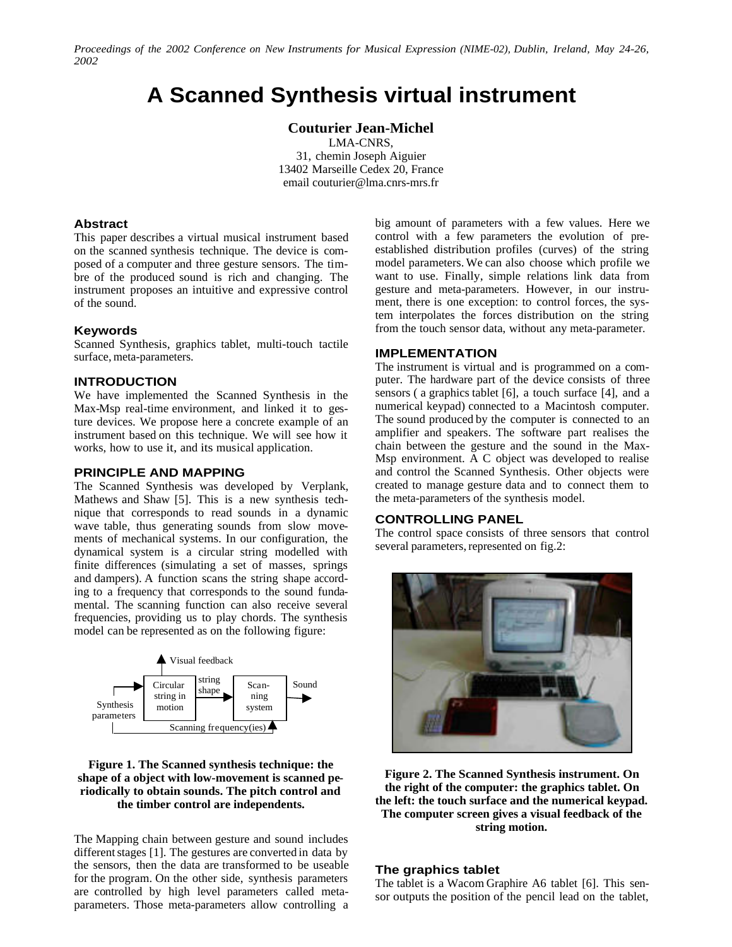*Proceedings of the 2002 Conference on New Instruments for Musical Expression (NIME-02), Dublin, Ireland, May 24-26, 2002*

# **A Scanned Synthesis virtual instrument**

**Couturier Jean-Michel**

LMA-CNRS, 31, chemin Joseph Aiguier 13402 Marseille Cedex 20, France email [couturier@lma.cnrs-mrs.fr](mailto:couturier@lma.cnrs-mrs.fr)

## **Abstract**

This paper describes a virtual musical instrument based on the scanned synthesis technique. The device is composed of a computer and three gesture sensors. The timbre of the produced sound is rich and changing. The instrument proposes an intuitive and expressive control of the sound.

#### **Keywords**

Scanned Synthesis, graphics tablet, multi-touch tactile surface, meta-parameters.

## **INTRODUCTION**

We have implemented the Scanned Synthesis in the Max-Msp real-time environment, and linked it to gesture devices. We propose here a concrete example of an instrument based on this technique. We will see how it works, how to use it, and its musical application.

#### **PRINCIPLE AND MAPPING**

The Scanned Synthesis was developed by Verplank, Mathews and Shaw [5]. This is a new synthesis technique that corresponds to read sounds in a dynamic wave table, thus generating sounds from slow movements of mechanical systems. In our configuration, the dynamical system is a circular string modelled with finite differences (simulating a set of masses, springs and dampers). A function scans the string shape according to a frequency that corresponds to the sound fundamental. The scanning function can also receive several frequencies, providing us to play chords. The synthesis model can be represented as on the following figure:



## **Figure 1. The Scanned synthesis technique: the shape of a object with low-movement is scanned periodically to obtain sounds. The pitch control and the timber control are independents.**

The Mapping chain between gesture and sound includes different stages [1]. The gestures are converted in data by the sensors, then the data are transformed to be useable for the program. On the other side, synthesis parameters are controlled by high level parameters called metaparameters. Those meta-parameters allow controlling a big amount of parameters with a few values. Here we control with a few parameters the evolution of preestablished distribution profiles (curves) of the string model parameters. We can also choose which profile we want to use. Finally, simple relations link data from gesture and meta-parameters. However, in our instrument, there is one exception: to control forces, the system interpolates the forces distribution on the string from the touch sensor data, without any meta-parameter.

#### **IMPLEMENTATION**

The instrument is virtual and is programmed on a computer. The hardware part of the device consists of three sensors ( a graphics tablet [6], a touch surface [4], and a numerical keypad) connected to a Macintosh computer. The sound produced by the computer is connected to an amplifier and speakers. The software part realises the chain between the gesture and the sound in the Max-Msp environment. A C object was developed to realise and control the Scanned Synthesis. Other objects were created to manage gesture data and to connect them to the meta-parameters of the synthesis model.

## **CONTROLLING PANEL**

The control space consists of three sensors that control several parameters, represented on fig.2:



**Figure 2. The Scanned Synthesis instrument. On the right of the computer: the graphics tablet. On the left: the touch surface and the numerical keypad. The computer screen gives a visual feedback of the string motion.**

#### **The graphics tablet**

The tablet is a Wacom Graphire A6 tablet [6]. This sensor outputs the position of the pencil lead on the tablet,